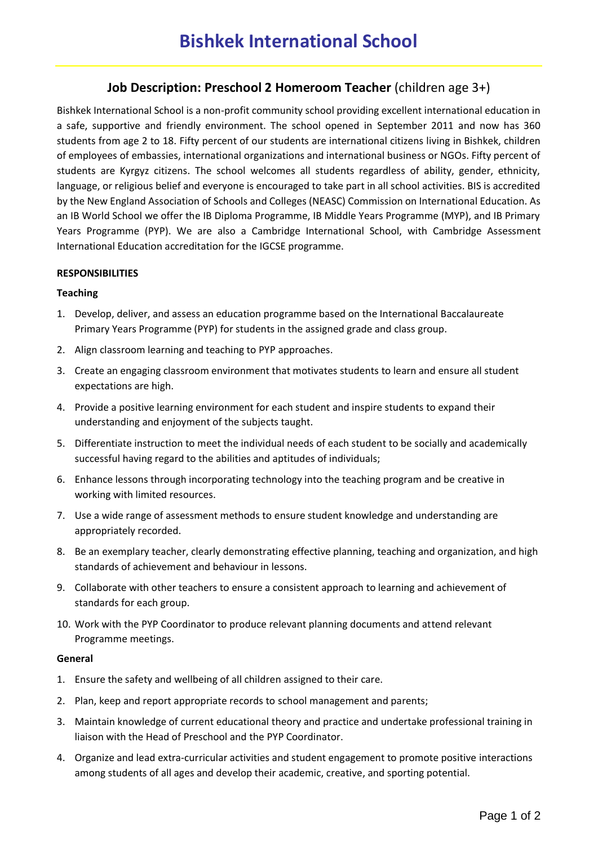# **Job Description: Preschool 2 Homeroom Teacher** (children age 3+)

Bishkek International School is a non-profit community school providing excellent international education in a safe, supportive and friendly environment. The school opened in September 2011 and now has 360 students from age 2 to 18. Fifty percent of our students are international citizens living in Bishkek, children of employees of embassies, international organizations and international business or NGOs. Fifty percent of students are Kyrgyz citizens. The school welcomes all students regardless of ability, gender, ethnicity, language, or religious belief and everyone is encouraged to take part in all school activities. BIS is accredited by the New England Association of Schools and Colleges (NEASC) Commission on International Education. As an IB World School we offer the IB Diploma Programme, IB Middle Years Programme (MYP), and IB Primary Years Programme (PYP). We are also a Cambridge International School, with Cambridge Assessment International Education accreditation for the IGCSE programme.

## **RESPONSIBILITIES**

## **Teaching**

- 1. Develop, deliver, and assess an education programme based on the International Baccalaureate Primary Years Programme (PYP) for students in the assigned grade and class group.
- 2. Align classroom learning and teaching to PYP approaches.
- 3. Create an engaging classroom environment that motivates students to learn and ensure all student expectations are high.
- 4. Provide a positive learning environment for each student and inspire students to expand their understanding and enjoyment of the subjects taught.
- 5. Differentiate instruction to meet the individual needs of each student to be socially and academically successful having regard to the abilities and aptitudes of individuals;
- 6. Enhance lessons through incorporating technology into the teaching program and be creative in working with limited resources.
- 7. Use a wide range of assessment methods to ensure student knowledge and understanding are appropriately recorded.
- 8. Be an exemplary teacher, clearly demonstrating effective planning, teaching and organization, and high standards of achievement and behaviour in lessons.
- 9. Collaborate with other teachers to ensure a consistent approach to learning and achievement of standards for each group.
- 10. Work with the PYP Coordinator to produce relevant planning documents and attend relevant Programme meetings.

#### **General**

- 1. Ensure the safety and wellbeing of all children assigned to their care.
- 2. Plan, keep and report appropriate records to school management and parents;
- 3. Maintain knowledge of current educational theory and practice and undertake professional training in liaison with the Head of Preschool and the PYP Coordinator.
- 4. Organize and lead extra-curricular activities and student engagement to promote positive interactions among students of all ages and develop their academic, creative, and sporting potential.